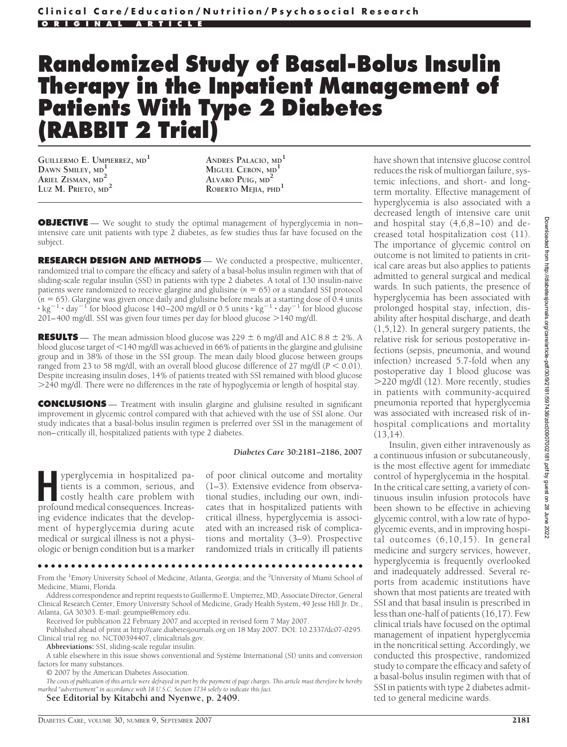# **Randomized Study of Basal-Bolus Insulin Therapy in the Inpatient Management of Patients With Type 2 Diabetes (RABBIT 2 Trial)**

**GUILLERMO E. UMPIERREZ, MD<sup>1</sup> DAWN SMILEY, MD<sup>1</sup> ARIEL ZISMAN, MD<sup>2</sup> LUZ M. PRIETO, MD<sup>2</sup>**

**ANDRES PALACIO, MD<sup>1</sup> MIGUEL CERON, MD<sup>1</sup> ALVARO PUIG, MD<sup>2</sup> ROBERTO MEJIA, PHD<sup>1</sup>**

**OBJECTIVE** — We sought to study the optimal management of hyperglycemia in non– intensive care unit patients with type 2 diabetes, as few studies thus far have focused on the subject.

**RESEARCH DESIGN AND METHODS** — We conducted a prospective, multicenter, randomized trial to compare the efficacy and safety of a basal-bolus insulin regimen with that of sliding-scale regular insulin (SSI) in patients with type 2 diabetes. A total of 130 insulin-naive patients were randomized to receive glargine and glulisine (*n* 65) or a standard SSI protocol (*n* 65). Glargine was given once daily and glulisine before meals at a starting dose of 0.4 units  $\cdot$  kg<sup>-1</sup>  $\cdot$  day<sup>-1</sup> for blood glucose 140–200 mg/dl or 0.5 units  $\cdot$  kg<sup>-1</sup>  $\cdot$  day<sup>-1</sup> for blood glucose  $201-400$  mg/dl. SSI was given four times per day for blood glucose  $>140$  mg/dl.

**RESULTS** — The mean admission blood glucose was 229  $\pm$  6 mg/dl and A1C 8.8  $\pm$  2%. A blood glucose target of  $\leq$ 140 mg/dl was achieved in 66% of patients in the glargine and glulisine group and in 38% of those in the SSI group. The mean daily blood glucose between groups ranged from 23 to 58 mg/dl, with an overall blood glucose difference of 27 mg/dl ( $P < 0.01$ ). Despite increasing insulin doses, 14% of patients treated with SSI remained with blood glucose 240 mg/dl. There were no differences in the rate of hypoglycemia or length of hospital stay.

**CONCLUSIONS** — Treatment with insulin glargine and glulisine resulted in significant improvement in glycemic control compared with that achieved with the use of SSI alone. Our study indicates that a basal-bolus insulin regimen is preferred over SSI in the management of non–critically ill, hospitalized patients with type 2 diabetes.

#### *Diabetes Care* **30:2181–2186, 2007**

**H**yperglycemia in hospitalized patients is a common, serious, and costly health care problem with profound medical consequences. Increasing evidence indicates that the development of hyperglycemia during acute medical or surgical illness is not a physiologic or benign condition but is a marker

of poor clinical outcome and mortality (1–3). Extensive evidence from observational studies, including our own, indicates that in hospitalized patients with critical illness, hyperglycemia is associated with an increased risk of complications and mortality (3–9). Prospective randomized trials in critically ill patients

●●●●●●●●●●●●●●●●●●●●●●●●●●●●●●●●●●●●●●●●●●●●●●●●●

From the <sup>1</sup>Emory University School of Medicine, Atlanta, Georgia; and the <sup>2</sup>University of Miami School of Medicine, Miami, Florida.

Address correspondence and reprint requests to Guillermo E. Umpierrez, MD, Associate Director, General Clinical Research Center, Emory University School of Medicine, Grady Health System, 49 Jesse Hill Jr. Dr., Atlanta, GA 30303. E-mail: geumpie@emory.edu.

Received for publication 22 February 2007 and accepted in revised form 7 May 2007.

Published ahead of print at http://care.diabetesjournals.org on 18 May 2007. DOI: 10.2337/dc07-0295. Clinical trial reg. no. NCT00394407, clinicaltrials.gov.

**Abbreviations:** SSI, sliding-scale regular insulin.

A table elsewhere in this issue shows conventional and Système International (SI) units and conversion factors for many substances.

© 2007 by the American Diabetes Association.

*The costs of publication of this article were defrayed in part by the payment of page charges. This article must therefore be hereby marked "advertisement" in accordance with 18 U.S.C. Section 1734 solely to indicate this fact.*

**See Editorial by Kitabchi and Nyenwe, p. 2409.**

have shown that intensive glucose control reduces the risk of multiorgan failure, systemic infections, and short- and longterm mortality. Effective management of hyperglycemia is also associated with a decreased length of intensive care unit and hospital stay (4,6,8–10) and decreased total hospitalization cost (11). The importance of glycemic control on outcome is not limited to patients in critical care areas but also applies to patients admitted to general surgical and medical wards. In such patients, the presence of hyperglycemia has been associated with prolonged hospital stay, infection, disability after hospital discharge, and death (1,5,12). In general surgery patients, the relative risk for serious postoperative infections (sepsis, pneumonia, and wound infection) increased 5.7-fold when any postoperative day 1 blood glucose was 220 mg/dl (12). More recently, studies in patients with community-acquired pneumonia reported that hyperglycemia was associated with increased risk of inhospital complications and mortality (13,14).

Insulin, given either intravenously as a continuous infusion or subcutaneously, is the most effective agent for immediate control of hyperglycemia in the hospital. In the critical care setting, a variety of continuous insulin infusion protocols have been shown to be effective in achieving glycemic control, with a low rate of hypoglycemic events, and in improving hospital outcomes (6,10,15). In general medicine and surgery services, however, hyperglycemia is frequently overlooked and inadequately addressed. Several reports from academic institutions have shown that most patients are treated with SSI and that basal insulin is prescribed in less than one-half of patients (16,17). Few clinical trials have focused on the optimal management of inpatient hyperglycemia in the noncritical setting. Accordingly, we conducted this prospective, randomized study to compare the efficacy and safety of a basal-bolus insulin regimen with that of SSI in patients with type 2 diabetes admitted to general medicine wards.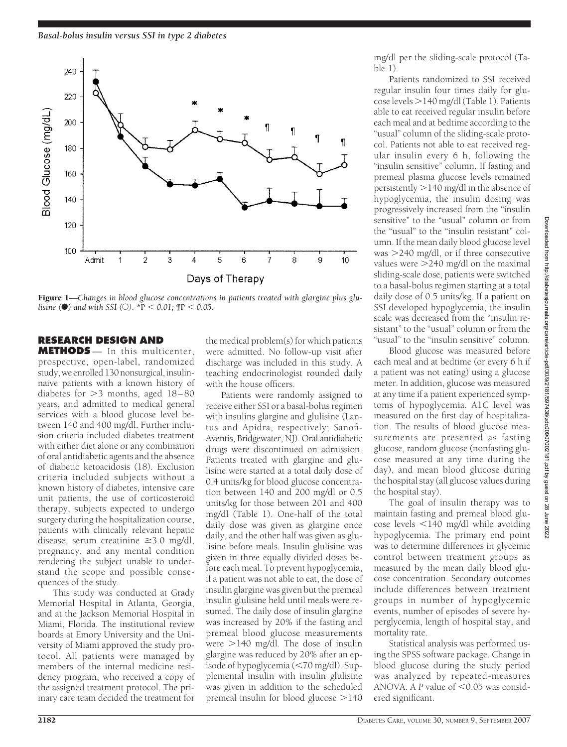

Figure 1—*Changes in blood glucose concentrations in patients treated with glargine plus glulisine* ( $\bullet$ ) and with SSI ( $\circlearrowright$ ). \*P < 0.01;  $\text{TP}$  < 0.05.

## **RESEARCH DESIGN AND**

**METHODS** — In this multicenter, prospective, open-label, randomized study, we enrolled 130 nonsurgical, insulinnaive patients with a known history of diabetes for  $>3$  months, aged  $18-80$ years, and admitted to medical general services with a blood glucose level between 140 and 400 mg/dl. Further inclusion criteria included diabetes treatment with either diet alone or any combination of oral antidiabetic agents and the absence of diabetic ketoacidosis (18). Exclusion criteria included subjects without a known history of diabetes, intensive care unit patients, the use of corticosteroid therapy, subjects expected to undergo surgery during the hospitalization course, patients with clinically relevant hepatic disease, serum creatinine  $\geq$ 3.0 mg/dl, pregnancy, and any mental condition rendering the subject unable to understand the scope and possible consequences of the study.

This study was conducted at Grady Memorial Hospital in Atlanta, Georgia, and at the Jackson Memorial Hospital in Miami, Florida. The institutional review boards at Emory University and the University of Miami approved the study protocol. All patients were managed by members of the internal medicine residency program, who received a copy of the assigned treatment protocol. The primary care team decided the treatment for

the medical problem(s) for which patients were admitted. No follow-up visit after discharge was included in this study. A teaching endocrinologist rounded daily with the house officers.

Patients were randomly assigned to receive either SSI or a basal-bolus regimen with insulins glargine and glulisine (Lantus and Apidra, respectively; Sanofi-Aventis, Bridgewater, NJ). Oral antidiabetic drugs were discontinued on admission. Patients treated with glargine and glulisine were started at a total daily dose of 0.4 units/kg for blood glucose concentration between 140 and 200 mg/dl or 0.5 units/kg for those between 201 and 400 mg/dl (Table 1). One-half of the total daily dose was given as glargine once daily, and the other half was given as glulisine before meals. Insulin glulisine was given in three equally divided doses before each meal. To prevent hypoglycemia, if a patient was not able to eat, the dose of insulin glargine was given but the premeal insulin glulisine held until meals were resumed. The daily dose of insulin glargine was increased by 20% if the fasting and premeal blood glucose measurements were  $>$ 140 mg/dl. The dose of insulin glargine was reduced by 20% after an episode of hypoglycemia (<70 mg/dl). Supplemental insulin with insulin glulisine was given in addition to the scheduled premeal insulin for blood glucose  $>140$ 

mg/dl per the sliding-scale protocol (Table 1).

Patients randomized to SSI received regular insulin four times daily for glu- $\csc$  levels  $>$  140 mg/dl (Table 1). Patients able to eat received regular insulin before each meal and at bedtime according to the "usual" column of the sliding-scale protocol. Patients not able to eat received regular insulin every 6 h, following the "insulin sensitive" column. If fasting and premeal plasma glucose levels remained persistently  $>$  140 mg/dl in the absence of hypoglycemia, the insulin dosing was progressively increased from the "insulin sensitive" to the "usual" column or from the "usual" to the "insulin resistant" column. If the mean daily blood glucose level was 240 mg/dl, or if three consecutive values were 240 mg/dl on the maximal sliding-scale dose, patients were switched to a basal-bolus regimen starting at a total daily dose of 0.5 units/kg. If a patient on SSI developed hypoglycemia, the insulin scale was decreased from the "insulin resistant" to the "usual" column or from the "usual" to the "insulin sensitive" column.

Blood glucose was measured before each meal and at bedtime (or every 6 h if a patient was not eating) using a glucose meter. In addition, glucose was measured at any time if a patient experienced symptoms of hypoglycemia. A1C level was measured on the first day of hospitalization. The results of blood glucose measurements are presented as fasting glucose, random glucose (nonfasting glucose measured at any time during the day), and mean blood glucose during the hospital stay (all glucose values during the hospital stay).

The goal of insulin therapy was to maintain fasting and premeal blood glucose levels  $\leq$ 140 mg/dl while avoiding hypoglycemia. The primary end point was to determine differences in glycemic control between treatment groups as measured by the mean daily blood glucose concentration. Secondary outcomes include differences between treatment groups in number of hypoglycemic events, number of episodes of severe hyperglycemia, length of hospital stay, and mortality rate.

Statistical analysis was performed using the SPSS software package. Change in blood glucose during the study period was analyzed by repeated-measures ANOVA. A  $P$  value of  $\leq 0.05$  was considered significant.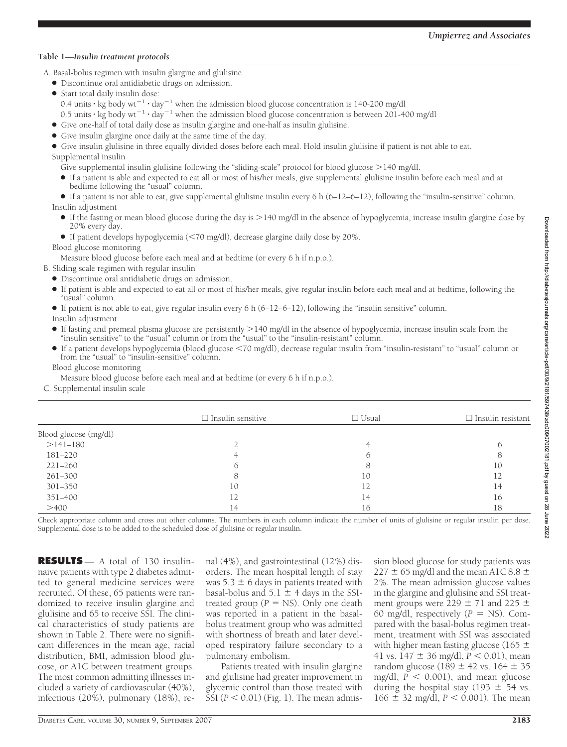### **Table 1—***Insulin treatment protocols*

A. Basal-bolus regimen with insulin glargine and glulisine

- Discontinue oral antidiabetic drugs on admission.
- Start total daily insulin dose: 0.4 units  $\cdot$  kg body wt<sup>-1</sup>  $\cdot$  day<sup>-1</sup> when the admission blood glucose concentration is 140-200 mg/dl 0.5 units  $\cdot$  kg body wt<sup>-1</sup>  $\cdot$  day<sup>-1</sup> when the admission blood glucose concentration is between 201-400 mg/dl
- Give one-half of total daily dose as insulin glargine and one-half as insulin glulisine.
- Give insulin glargine once daily at the same time of the day.

● Give insulin glulisine in three equally divided doses before each meal. Hold insulin glulisine if patient is not able to eat. Supplemental insulin

Give supplemental insulin glulisine following the "sliding-scale" protocol for blood glucose >140 mg/dl.

● If a patient is able and expected to eat all or most of his/her meals, give supplemental glulisine insulin before each meal and at bedtime following the "usual" column.

● If a patient is not able to eat, give supplemental glulisine insulin every 6 h (6–12–6–12), following the "insulin-sensitive" column. Insulin adjustment

● If the fasting or mean blood glucose during the day is >140 mg/dl in the absence of hypoglycemia, increase insulin glargine dose by 20% every day.

● If patient develops hypoglycemia (70 mg/dl), decrease glargine daily dose by 20%.

Blood glucose monitoring

Measure blood glucose before each meal and at bedtime (or every 6 h if n.p.o.).

B. Sliding scale regimen with regular insulin

- Discontinue oral antidiabetic drugs on admission.
- If patient is able and expected to eat all or most of his/her meals, give regular insulin before each meal and at bedtime, following the "usual" column.
- $\bullet$  If patient is not able to eat, give regular insulin every 6 h (6–12–6–12), following the "insulin sensitive" column.

Insulin adjustment

- If fasting and premeal plasma glucose are persistently 140 mg/dl in the absence of hypoglycemia, increase insulin scale from the "insulin sensitive" to the "usual" column or from the "usual" to the "insulin-resistant" column.
- If a patient develops hypoglycemia (blood glucose 70 mg/dl), decrease regular insulin from "insulin-resistant" to "usual" column or from the "usual" to "insulin-sensitive" column.

Blood glucose monitoring

Measure blood glucose before each meal and at bedtime (or every 6 h if n.p.o.).

C. Supplemental insulin scale

|                       | $\Box$ Insulin sensitive | $\Box$ Usual | $\Box$ Insulin resistant |
|-----------------------|--------------------------|--------------|--------------------------|
| Blood glucose (mg/dl) |                          |              |                          |
| $>141-180$            |                          |              |                          |
| 181-220               |                          |              |                          |
| $221 - 260$           |                          |              | 10                       |
| 261-300               |                          | 10           | 12                       |
| $301 - 350$           | 10                       | 12           | 14                       |
| 351-400               |                          | 14           | 16                       |
| >400                  | 14                       | 16           | 18                       |

Check appropriate column and cross out other columns. The numbers in each column indicate the number of units of glulisine or regular insulin per dose. Supplemental dose is to be added to the scheduled dose of glulisine or regular insulin.

**RESULTS** — A total of 130 insulinnaive patients with type 2 diabetes admitted to general medicine services were recruited. Of these, 65 patients were randomized to receive insulin glargine and glulisine and 65 to receive SSI. The clinical characteristics of study patients are shown in Table 2. There were no significant differences in the mean age, racial distribution, BMI, admission blood glucose, or A1C between treatment groups. The most common admitting illnesses included a variety of cardiovascular (40%), infectious (20%), pulmonary (18%), re-

nal (4%), and gastrointestinal (12%) disorders. The mean hospital length of stay was  $5.3 \pm 6$  days in patients treated with basal-bolus and  $5.1 \pm 4$  days in the SSItreated group ( $P = NS$ ). Only one death was reported in a patient in the basalbolus treatment group who was admitted with shortness of breath and later developed respiratory failure secondary to a pulmonary embolism.

Patients treated with insulin glargine and glulisine had greater improvement in glycemic control than those treated with  $\overline{S}$ SI ( $P < 0.01$ ) (Fig. 1). The mean admis-

sion blood glucose for study patients was 227  $\pm$  65 mg/dl and the mean A1C 8.8  $\pm$ 2%. The mean admission glucose values in the glargine and glulisine and SSI treatment groups were  $229 \pm 71$  and  $225 \pm 71$ 60 mg/dl, respectively  $(P = NS)$ . Compared with the basal-bolus regimen treatment, treatment with SSI was associated with higher mean fasting glucose (165  $\pm$ 41 vs.  $147 \pm 36$  mg/dl,  $P < 0.01$ ), mean random glucose (189  $\pm$  42 vs. 164  $\pm$  35 mg/dl,  $\overline{P}$  < 0.001), and mean glucose during the hospital stay (193  $\pm$  54 vs.  $166 \pm 32$  mg/dl,  $P < 0.001$ ). The mean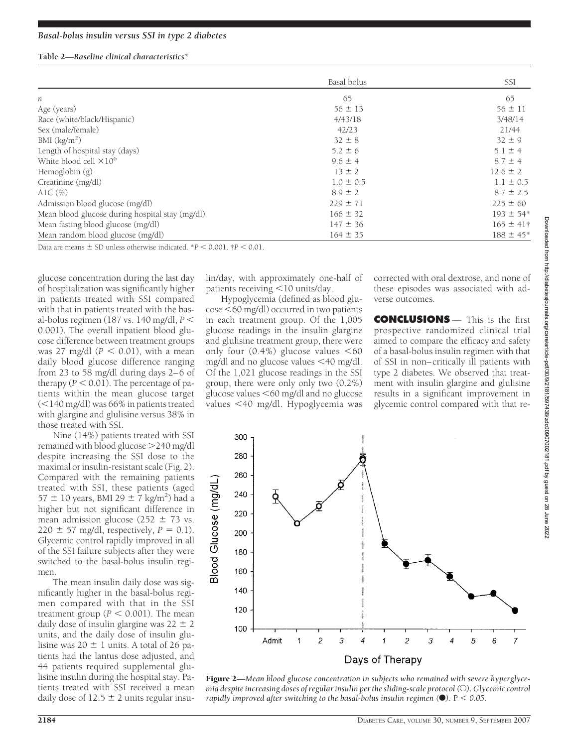#### **Table 2—***Baseline clinical characteristics\**

|                                                 | Basal bolus   | SSI            |
|-------------------------------------------------|---------------|----------------|
|                                                 |               |                |
| п                                               | 65            | 65             |
| Age (years)                                     | $56 \pm 13$   | $56 \pm 11$    |
| Race (white/black/Hispanic)                     | 4/43/18       | 3/48/14        |
| Sex (male/female)                               | 42/23         | 21/44          |
| BMI $(kg/m2)$                                   | $32 \pm 8$    | $32 \pm 9$     |
| Length of hospital stay (days)                  | $5.2 \pm 6$   | $5.1 \pm 4$    |
| White blood cell $\times10^6$                   | $9.6 \pm 4$   | $8.7 \pm 4$    |
| Hemoglobin (g)                                  | $13 \pm 2$    | $12.6 \pm 2$   |
| Creatinine (mg/dl)                              | $1.0 \pm 0.5$ | $1.1 \pm 0.5$  |
| AlC $(\%)$                                      | $8.9 \pm 2$   | $8.7 \pm 2.5$  |
| Admission blood glucose (mg/dl)                 | $229 \pm 71$  | $225 \pm 60$   |
| Mean blood glucose during hospital stay (mg/dl) | $166 \pm 32$  | $193 \pm 54*$  |
| Mean fasting blood glucose (mg/dl)              | $147 \pm 36$  | $165 \pm 41$ † |
| Mean random blood glucose (mg/dl)               | $164 \pm 35$  | $188 \pm 45^*$ |

Data are means  $\pm$  SD unless otherwise indicated.  $*P < 0.001$ .  $\uparrow P < 0.01$ .

glucose concentration during the last day of hospitalization was significantly higher in patients treated with SSI compared with that in patients treated with the basal-bolus regimen (187 vs. 140 mg/dl, *P* 0.001). The overall inpatient blood glucose difference between treatment groups was 27 mg/dl  $(P < 0.01)$ , with a mean daily blood glucose difference ranging from 23 to 58 mg/dl during days 2–6 of therapy  $(P < 0.01)$ . The percentage of patients within the mean glucose target  $(<$ 140 mg/dl) was 66% in patients treated with glargine and glulisine versus 38% in those treated with SSI.

Nine (14%) patients treated with SSI remained with blood glucose 240 mg/dl despite increasing the SSI dose to the maximal or insulin-resistant scale (Fig. 2). Compared with the remaining patients treated with SSI, these patients (aged  $57 \pm 10$  years, BMI 29  $\pm 7$  kg/m<sup>2</sup>) had a higher but not significant difference in mean admission glucose ( $252 \pm 73$  vs.  $220 \pm 57$  mg/dl, respectively,  $P = 0.1$ ). Glycemic control rapidly improved in all of the SSI failure subjects after they were switched to the basal-bolus insulin regimen.

The mean insulin daily dose was significantly higher in the basal-bolus regimen compared with that in the SSI treatment group ( $P < 0.001$ ). The mean daily dose of insulin glargine was  $22 \pm 2$ units, and the daily dose of insulin glulisine was  $20 \pm 1$  units. A total of 26 patients had the lantus dose adjusted, and 44 patients required supplemental glulisine insulin during the hospital stay. Patients treated with SSI received a mean daily dose of  $12.5 \pm 2$  units regular insulin/day, with approximately one-half of patients receiving  $\leq 10$  units/day.

Hypoglycemia (defined as blood glucose 60 mg/dl) occurred in two patients in each treatment group. Of the 1,005 glucose readings in the insulin glargine and glulisine treatment group, there were only four  $(0.4\%)$  glucose values <60 mg/dl and no glucose values 40 mg/dl. Of the 1,021 glucose readings in the SSI group, there were only only two (0.2%) glucose values  $<$  60 mg/dl and no glucose values 40 mg/dl. Hypoglycemia was corrected with oral dextrose, and none of these episodes was associated with adverse outcomes.

**CONCLUSIONS** - This is the first prospective randomized clinical trial aimed to compare the efficacy and safety of a basal-bolus insulin regimen with that of SSI in non–critically ill patients with type 2 diabetes. We observed that treatment with insulin glargine and glulisine results in a significant improvement in glycemic control compared with that re-

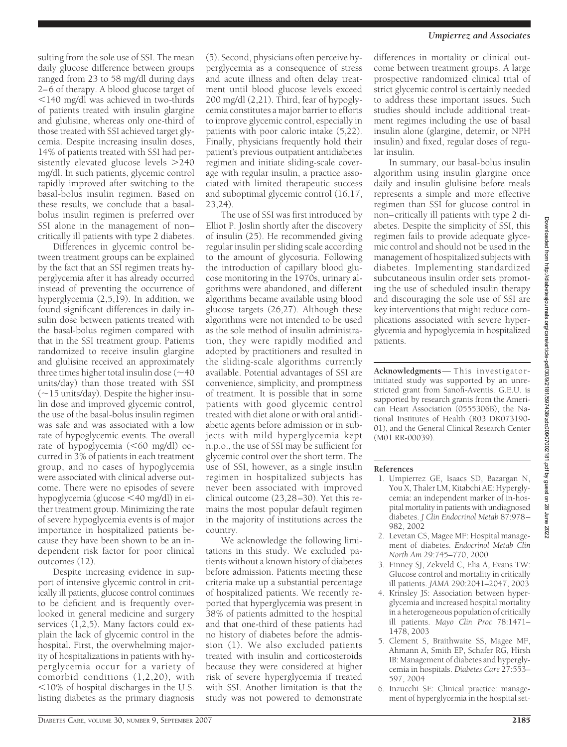sulting from the sole use of SSI. The mean daily glucose difference between groups ranged from 23 to 58 mg/dl during days 2–6 of therapy. A blood glucose target of 140 mg/dl was achieved in two-thirds of patients treated with insulin glargine and glulisine, whereas only one-third of those treated with SSI achieved target glycemia. Despite increasing insulin doses, 14% of patients treated with SSI had persistently elevated glucose levels  $>240$ mg/dl. In such patients, glycemic control rapidly improved after switching to the basal-bolus insulin regimen. Based on these results, we conclude that a basalbolus insulin regimen is preferred over SSI alone in the management of non– critically ill patients with type 2 diabetes.

Differences in glycemic control between treatment groups can be explained by the fact that an SSI regimen treats hyperglycemia after it has already occurred instead of preventing the occurrence of hyperglycemia (2,5,19). In addition, we found significant differences in daily insulin dose between patients treated with the basal-bolus regimen compared with that in the SSI treatment group. Patients randomized to receive insulin glargine and glulisine received an approximately three times higher total insulin dose  $(\sim 40$ units/day) than those treated with SSI  $(-15 \text{ units/day})$ . Despite the higher insulin dose and improved glycemic control, the use of the basal-bolus insulin regimen was safe and was associated with a low rate of hypoglycemic events. The overall rate of hypoglycemia  $(<$ 60 mg/dl) occurred in 3% of patients in each treatment group, and no cases of hypoglycemia were associated with clinical adverse outcome. There were no episodes of severe hypoglycemia (glucose 40 mg/dl) in either treatment group. Minimizing the rate of severe hypoglycemia events is of major importance in hospitalized patients because they have been shown to be an independent risk factor for poor clinical outcomes (12).

Despite increasing evidence in support of intensive glycemic control in critically ill patients, glucose control continues to be deficient and is frequently overlooked in general medicine and surgery services (1,2,5). Many factors could explain the lack of glycemic control in the hospital. First, the overwhelming majority of hospitalizations in patients with hyperglycemia occur for a variety of comorbid conditions (1,2,20), with  $10\%$  of hospital discharges in the U.S. listing diabetes as the primary diagnosis

(5). Second, physicians often perceive hyperglycemia as a consequence of stress and acute illness and often delay treatment until blood glucose levels exceed 200 mg/dl (2,21). Third, fear of hypoglycemia constitutes a major barrier to efforts to improve glycemic control, especially in patients with poor caloric intake (5,22). Finally, physicians frequently hold their patient's previous outpatient antidiabetes regimen and initiate sliding-scale coverage with regular insulin, a practice associated with limited therapeutic success and suboptimal glycemic control (16,17, 23,24).

The use of SSI was first introduced by Elliot P. Joslin shortly after the discovery of insulin (25). He recommended giving regular insulin per sliding scale according to the amount of glycosuria. Following the introduction of capillary blood glucose monitoring in the 1970s, urinary algorithms were abandoned, and different algorithms became available using blood glucose targets (26,27). Although these algorithms were not intended to be used as the sole method of insulin administration, they were rapidly modified and adopted by practitioners and resulted in the sliding-scale algorithms currently available. Potential advantages of SSI are convenience, simplicity, and promptness of treatment. It is possible that in some patients with good glycemic control treated with diet alone or with oral antidiabetic agents before admission or in subjects with mild hyperglycemia kept n.p.o., the use of SSI may be sufficient for glycemic control over the short term. The use of SSI, however, as a single insulin regimen in hospitalized subjects has never been associated with improved clinical outcome (23,28–30). Yet this remains the most popular default regimen in the majority of institutions across the country.

We acknowledge the following limitations in this study. We excluded patients without a known history of diabetes before admission. Patients meeting these criteria make up a substantial percentage of hospitalized patients. We recently reported that hyperglycemia was present in 38% of patients admitted to the hospital and that one-third of these patients had no history of diabetes before the admission (1). We also excluded patients treated with insulin and corticosteroids because they were considered at higher risk of severe hyperglycemia if treated with SSI. Another limitation is that the study was not powered to demonstrate

differences in mortality or clinical outcome between treatment groups. A large prospective randomized clinical trial of strict glycemic control is certainly needed to address these important issues. Such studies should include additional treatment regimes including the use of basal insulin alone (glargine, detemir, or NPH insulin) and fixed, regular doses of regular insulin.

In summary, our basal-bolus insulin algorithm using insulin glargine once daily and insulin glulisine before meals represents a simple and more effective regimen than SSI for glucose control in non–critically ill patients with type 2 diabetes. Despite the simplicity of SSI, this regimen fails to provide adequate glycemic control and should not be used in the management of hospitalized subjects with diabetes. Implementing standardized subcutaneous insulin order sets promoting the use of scheduled insulin therapy and discouraging the sole use of SSI are key interventions that might reduce complications associated with severe hyperglycemia and hypoglycemia in hospitalized patients.

**Acknowledgments**— This investigatorinitiated study was supported by an unrestricted grant from Sanofi-Aventis. G.E.U. is supported by research grants from the American Heart Association (0555306B), the National Institutes of Health (R03 DK073190- 01), and the General Clinical Research Center (M01 RR-00039).

## **References**

- 1. Umpierrez GE, Isaacs SD, Bazargan N, You X, Thaler LM, Kitabchi AE: Hyperglycemia: an independent marker of in-hospital mortality in patients with undiagnosed diabetes. *J Clin Endocrinol Metab* 87:978– 982, 2002
- 2. Levetan CS, Magee MF: Hospital management of diabetes. *Endocrinol Metab Clin North Am* 29:745–770, 2000
- 3. Finney SJ, Zekveld C, Elia A, Evans TW: Glucose control and mortality in critically ill patients. *JAMA* 290:2041–2047, 2003
- 4. Krinsley JS: Association between hyperglycemia and increased hospital mortality in a heterogeneous population of critically ill patients. *Mayo Clin Proc* 78:1471– 1478, 2003
- 5. Clement S, Braithwaite SS, Magee MF, Ahmann A, Smith EP, Schafer RG, Hirsh IB: Management of diabetes and hyperglycemia in hospitals. *Diabetes Care* 27:553– 597, 2004
- 6. Inzucchi SE: Clinical practice: management of hyperglycemia in the hospital set-